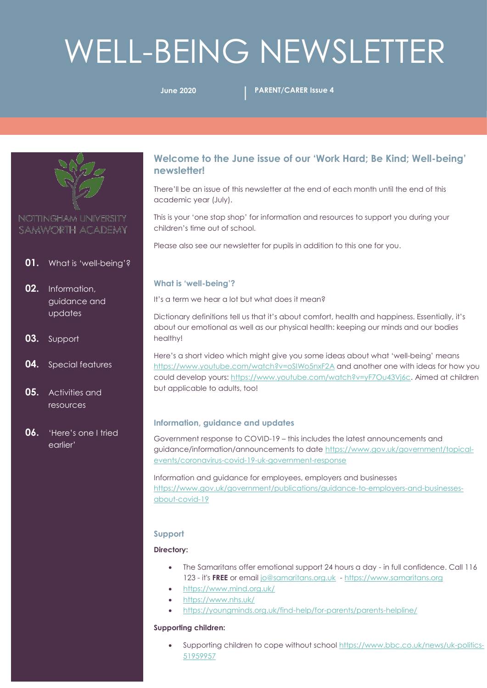# WELL-BEING NEWSLETTER

**June 2020 PARENT/CARER Issue 4**



## NOTTINGHAM UNIVERSITY SAMWORTH ACADEMY

- **01.** What is 'well-being'?
- **02.** Information, guidance and updates
- **03.** Support
- **04.** Special features
- **05.** Activities and resources
- **06.** 'Here's one I tried earlier'

### **Welcome to the June issue of our 'Work Hard; Be Kind; Well-being' newsletter!**

There'll be an issue of this newsletter at the end of each month until the end of this academic year (July).

This is your 'one stop shop' for information and resources to support you during your children's time out of school.

Please also see our newsletter for pupils in addition to this one for you.

#### **What is 'well-being'?**

It's a term we hear a lot but what does it mean?

Dictionary definitions tell us that it's about comfort, health and happiness. Essentially, it's about our emotional as well as our physical health: keeping our minds and our bodies healthy!

Here's a short video which might give you some ideas about what 'well-being' means <https://www.youtube.com/watch?v=oSIWo5nxF2A> and another one with ideas for how you could develop yours: [https://www.youtube.com/watch?v=yF7Ou43Vj6c.](https://www.youtube.com/watch?v=yF7Ou43Vj6c) Aimed at children but applicable to adults, too!

#### **Information, guidance and updates**

Government response to COVID-19 – this includes the latest announcements and guidance/information/announcements to date [https://www.gov.uk/government/topical](https://www.gov.uk/government/topical-events/coronavirus-covid-19-uk-government-response)[events/coronavirus-covid-19-uk-government-response](https://www.gov.uk/government/topical-events/coronavirus-covid-19-uk-government-response)

Information and guidance for employees, employers and businesses [https://www.gov.uk/government/publications/guidance-to-employers-and-businesses](https://www.gov.uk/government/publications/guidance-to-employers-and-businesses-about-covid-19)[about-covid-19](https://www.gov.uk/government/publications/guidance-to-employers-and-businesses-about-covid-19)

#### **Support**

#### **Directory:**

- The Samaritans offer emotional support 24 hours a day in full confidence. Call 116 123 - it's **FREE** or emai[l jo@samaritans.org.uk](mailto:jo@samaritans.org.uk) - [https://www.samaritans.org](https://www.samaritans.org/)
- <https://www.mind.org.uk/>
- <https://www.nhs.uk/>
- <https://youngminds.org.uk/find-help/for-parents/parents-helpline/>

#### **Supporting children:**

Supporting children to cope without schoo[l https://www.bbc.co.uk/news/uk-politics-](https://www.bbc.co.uk/news/uk-politics-51959957)[51959957](https://www.bbc.co.uk/news/uk-politics-51959957)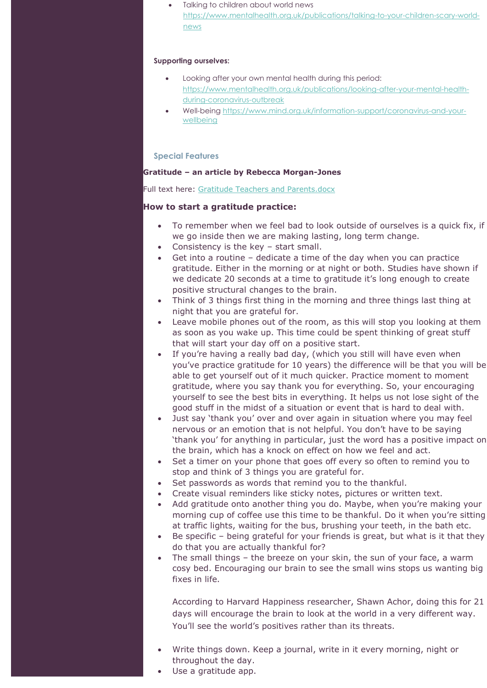Talking to children about world news [https://www.mentalhealth.org.uk/publications/talking-to-your-children-scary-world](https://www.mentalhealth.org.uk/publications/talking-to-your-children-scary-world-news)[news](https://www.mentalhealth.org.uk/publications/talking-to-your-children-scary-world-news)

#### **Supporting ourselves:**

- Looking after your own mental health during this period: [https://www.mentalhealth.org.uk/publications/looking-after-your-mental-health](https://www.mentalhealth.org.uk/publications/looking-after-your-mental-health-during-coronavirus-outbreak)[during-coronavirus-outbreak](https://www.mentalhealth.org.uk/publications/looking-after-your-mental-health-during-coronavirus-outbreak)
- Well-being [https://www.mind.org.uk/information-support/coronavirus-and-your](https://www.mind.org.uk/information-support/coronavirus-and-your-wellbeing)[wellbeing](https://www.mind.org.uk/information-support/coronavirus-and-your-wellbeing)

#### **Special Features**

#### **Gratitude – an article by Rebecca Morgan-Jones**

Full text here: [Gratitude Teachers and Parents.docx](Gratitude%20Blog%20Article%20RMJ%20Teachers%20and%20Parents.docx)

#### **How to start a gratitude practice:**

- To remember when we feel bad to look outside of ourselves is a quick fix, if we go inside then we are making lasting, long term change.
- Consistency is the key start small.
- Get into a routine dedicate a time of the day when you can practice gratitude. Either in the morning or at night or both. Studies have shown if we dedicate 20 seconds at a time to gratitude it's long enough to create positive structural changes to the brain.
- Think of 3 things first thing in the morning and three things last thing at night that you are grateful for.
- Leave mobile phones out of the room, as this will stop you looking at them as soon as you wake up. This time could be spent thinking of great stuff that will start your day off on a positive start.
- If you're having a really bad day, (which you still will have even when you've practice gratitude for 10 years) the difference will be that you will be able to get yourself out of it much quicker. Practice moment to moment gratitude, where you say thank you for everything. So, your encouraging yourself to see the best bits in everything. It helps us not lose sight of the good stuff in the midst of a situation or event that is hard to deal with.
- Just say 'thank you' over and over again in situation where you may feel nervous or an emotion that is not helpful. You don't have to be saying 'thank you' for anything in particular, just the word has a positive impact on the brain, which has a knock on effect on how we feel and act.
- Set a timer on your phone that goes off every so often to remind you to stop and think of 3 things you are grateful for.
- Set passwords as words that remind you to the thankful.
- Create visual reminders like sticky notes, pictures or written text.
- Add gratitude onto another thing you do. Maybe, when you're making your morning cup of coffee use this time to be thankful. Do it when you're sitting at traffic lights, waiting for the bus, brushing your teeth, in the bath etc.
- Be specific being grateful for your friends is great, but what is it that they do that you are actually thankful for?
- The small things the breeze on your skin, the sun of your face, a warm cosy bed. Encouraging our brain to see the small wins stops us wanting big fixes in life.

According to Harvard Happiness researcher, Shawn Achor, doing this for 21 days will encourage the brain to look at the world in a very different way. You'll see the world's positives rather than its threats.

- Write things down. Keep a journal, write in it every morning, night or throughout the day.
- Use a gratitude app.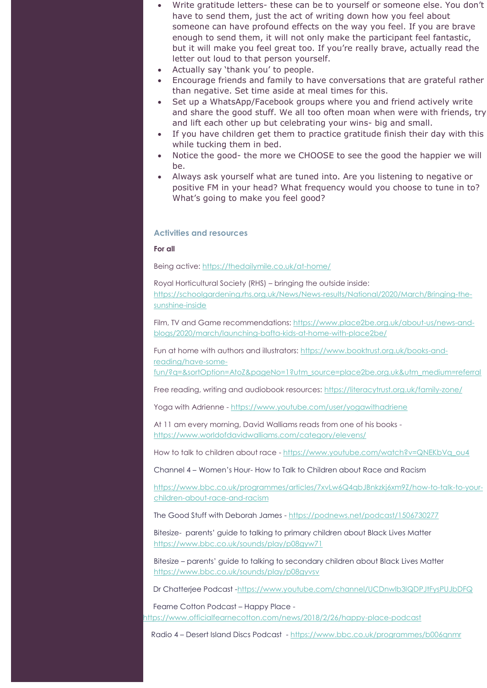- Write gratitude letters- these can be to yourself or someone else. You don't have to send them, just the act of writing down how you feel about someone can have profound effects on the way you feel. If you are brave enough to send them, it will not only make the participant feel fantastic, but it will make you feel great too. If you're really brave, actually read the letter out loud to that person yourself.
- Actually say 'thank you' to people.
- Encourage friends and family to have conversations that are grateful rather than negative. Set time aside at meal times for this.
- Set up a WhatsApp/Facebook groups where you and friend actively write and share the good stuff. We all too often moan when were with friends, try and lift each other up but celebrating your wins- big and small.
- If you have children get them to practice gratitude finish their day with this while tucking them in bed.
- Notice the good- the more we CHOOSE to see the good the happier we will be.
- Always ask yourself what are tuned into. Are you listening to negative or positive FM in your head? What frequency would you choose to tune in to? What's going to make you feel good?

#### **Activities and resources**

**For all** 

Being active[: https://thedailymile.co.uk/at-home/](https://thedailymile.co.uk/at-home/)

Royal Horticultural Society (RHS) – bringing the outside inside:

[https://schoolgardening.rhs.org.uk/News/News-results/National/2020/March/Bringing-the](https://schoolgardening.rhs.org.uk/News/News-results/National/2020/March/Bringing-the-sunshine-inside)[sunshine-inside](https://schoolgardening.rhs.org.uk/News/News-results/National/2020/March/Bringing-the-sunshine-inside)

Film, TV and Game recommendations[: https://www.place2be.org.uk/about-us/news-and](https://www.place2be.org.uk/about-us/news-and-blogs/2020/march/launching-bafta-kids-at-home-with-place2be/)[blogs/2020/march/launching-bafta-kids-at-home-with-place2be/](https://www.place2be.org.uk/about-us/news-and-blogs/2020/march/launching-bafta-kids-at-home-with-place2be/)

Fun at home with authors and illustrators[: https://www.booktrust.org.uk/books-and](https://www.booktrust.org.uk/books-and-reading/have-some-fun/?q=&sortOption=AtoZ&pageNo=1?utm_source=place2be.org.uk&utm_medium=referral)[reading/have-some-](https://www.booktrust.org.uk/books-and-reading/have-some-fun/?q=&sortOption=AtoZ&pageNo=1?utm_source=place2be.org.uk&utm_medium=referral)

[fun/?q=&sortOption=AtoZ&pageNo=1?utm\\_source=place2be.org.uk&utm\\_medium=referral](https://www.booktrust.org.uk/books-and-reading/have-some-fun/?q=&sortOption=AtoZ&pageNo=1?utm_source=place2be.org.uk&utm_medium=referral)

Free reading, writing and audiobook resources:<https://literacytrust.org.uk/family-zone/>

Yoga with Adrienne - <https://www.youtube.com/user/yogawithadriene>

At 11 am every morning, David Walliams reads from one of his books <https://www.worldofdavidwalliams.com/category/elevens/>

How to talk to children about race - [https://www.youtube.com/watch?v=QNEKbVq\\_ou4](mailto:https://www.youtube.com/watch?v=QNEKbVq_ou4)

Channel 4 – Women's Hour- How to Talk to Children about Race and Racism

[https://www.bbc.co.uk/programmes/articles/7xvLw6Q4qbJBnkzkj6xm9Z/how-to-talk-to-your](mailto:https://www.bbc.co.uk/programmes/articles/7xvLw6Q4qbJBnkzkj6xm9Z/how-to-talk-to-your-children-about-race-and-racism)[children-about-race-and-racism](mailto:https://www.bbc.co.uk/programmes/articles/7xvLw6Q4qbJBnkzkj6xm9Z/how-to-talk-to-your-children-about-race-and-racism)

The Good Stuff with Deborah James - [https://podnews.net/podcast/1506730277](mailto:https://podnews.net/podcast/1506730277)

Bitesize- parents' guide to talking to primary children about Black Lives Matter [https://www.bbc.co.uk/sounds/play/p08gyw71](mailto:https://www.bbc.co.uk/sounds/play/p08gyw71)

Bitesize – parents' guide to talking to secondary children about Black Lives Matter <https://www.bbc.co.uk/sounds/play/p08gyvsv>

Dr Chatterjee Podcast [-https://www.youtube.com/channel/UCDnwlb3IQDPJtFysPUJbDFQ](mailto:https://www.youtube.com/channel/UCDnwlb3IQDPJtFysPUJbDFQ)

 Fearne Cotton Podcast – Happy Place [https://www.officialfearnecotton.com/news/2018/2/26/happy-place-podcast](mailto:https://www.officialfearnecotton.com/news/2018/2/26/happy-place-podcast)

Radio 4 – Desert Island Discs Podcast - [https://www.bbc.co.uk/programmes/b006qnmr](mailto:https://www.bbc.co.uk/programmes/b006qnmr)